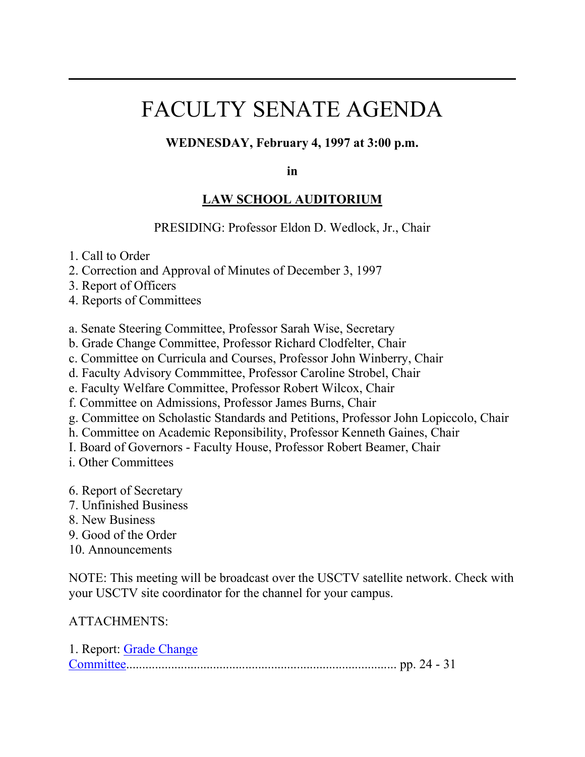# FACULTY SENATE AGENDA

## **WEDNESDAY, February 4, 1997 at 3:00 p.m.**

**in**

# **LAW SCHOOL AUDITORIUM**

PRESIDING: Professor Eldon D. Wedlock, Jr., Chair

- 1. Call to Order
- 2. Correction and Approval of Minutes of December 3, 1997
- 3. Report of Officers
- 4. Reports of Committees

a. Senate Steering Committee, Professor Sarah Wise, Secretary

- b. Grade Change Committee, Professor Richard Clodfelter, Chair
- c. Committee on Curricula and Courses, Professor John Winberry, Chair
- d. Faculty Advisory Commmittee, Professor Caroline Strobel, Chair
- e. Faculty Welfare Committee, Professor Robert Wilcox, Chair
- f. Committee on Admissions, Professor James Burns, Chair
- g. Committee on Scholastic Standards and Petitions, Professor John Lopiccolo, Chair
- h. Committee on Academic Reponsibility, Professor Kenneth Gaines, Chair
- I. Board of Governors Faculty House, Professor Robert Beamer, Chair
- i. Other Committees
- 6. Report of Secretary
- 7. Unfinished Business
- 8. New Business
- 9. Good of the Order
- 10. Announcements

NOTE: This meeting will be broadcast over the USCTV satellite network. Check with your USCTV site coordinator for the channel for your campus.

### ATTACHMENTS:

| 1. Report: Grade Change |  |
|-------------------------|--|
|                         |  |